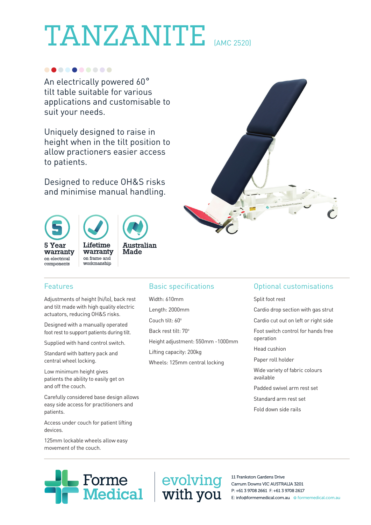# TANZANITE (AMC 2520)

### ..........

An electrically powered 60°<br>tilt table suitable for various applications and customisable to suit your needs.

Uniquely designed to raise in height when in the tilt position to allow practioners easier access to patients.

Designed to reduce OH&S risks and minimise manual handling.

## 5 Year warranty on electrical components



Lifetime warranty on frame and workmanship

### Features

 Adjustments of height (hi/lo), back rest and tilt made with high quality electric actuators, reducing OH&S risks.

Designed with a manually operated foot rest to support patients during tilt.

Supplied with hand control switch.

Standard with battery pack and central wheel locking.

Low minimum height gives patients the ability to easily get on and off the couch.

 Carefully considered base design allows easy side access for practitioners and patients.

 Access under couch for patient lifting devices.

125mm lockable wheels allow easy movement of the couch.



Height adjustment: 550mm -1000mm

Basic specifications

Width: 610mm Length: 2000mm Couch tilt: 60° Back rest tilt: 70°



## Optional customisations

Split foot rest

Cardio drop section with gas strut

Cardio cut out on left or right side Foot switch control for hands free operation

Head cushion

Paper roll holder

Wide variety of fabric colours available

Padded swivel arm rest set

Standard arm rest set

Fold down side rails

11 Frankston Gardens Drive Carrum Downs VIC AUSTRALIA 3201 P: +61 3 9708 2661 F: +61 3 9708 2617 E: info@formemedical.com.au O formemedical.com.au